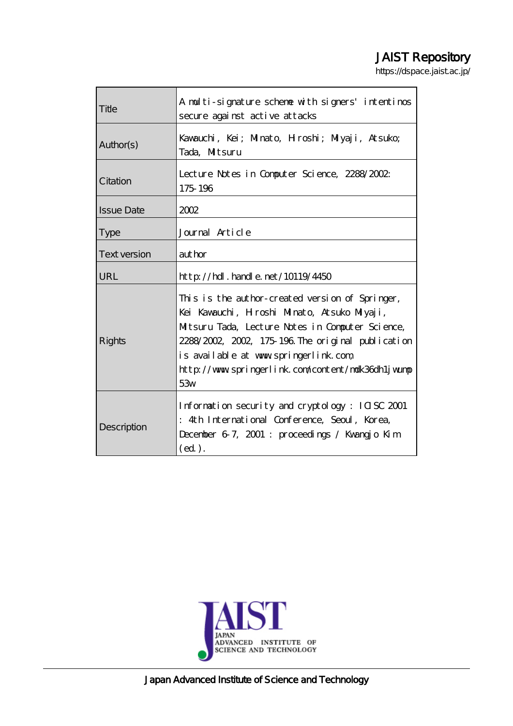# JAIST Repository

https://dspace.jaist.ac.jp/

| Title               | A multi-signature scheme with signers' intentinos<br>secure against active attacks                                                                                                                                                                                                                            |  |  |  |  |
|---------------------|---------------------------------------------------------------------------------------------------------------------------------------------------------------------------------------------------------------------------------------------------------------------------------------------------------------|--|--|--|--|
| Author(s)           | Kavauchi, Kei; Minato, Hroshi; Miyaji, Atsuko;<br>Tada. Mitsuru                                                                                                                                                                                                                                               |  |  |  |  |
| Citation            | Lecture Notes in Computer Science, 2288/2002.<br>175 196                                                                                                                                                                                                                                                      |  |  |  |  |
| <b>Issue Date</b>   | 2002                                                                                                                                                                                                                                                                                                          |  |  |  |  |
| <b>Type</b>         | Journal Article                                                                                                                                                                                                                                                                                               |  |  |  |  |
| <b>Text version</b> | author                                                                                                                                                                                                                                                                                                        |  |  |  |  |
| <b>URL</b>          | http://hdl.handle.net/10119/4450                                                                                                                                                                                                                                                                              |  |  |  |  |
| Rights              | This is the author-created version of Springer,<br>Kei Kavauchi, Hroshi Minato, Atsuko Miyaji,<br>Mitsuru Tada, Lecture Notes in Computer Science,<br>2288/2002, 2002, 175-196. The original publication<br>is available at www.springerlink.com<br>http://www.springerlink.com/content/malk36dh1jwump<br>53w |  |  |  |  |
| Description         | Information security and cryptology: ICISC 2001<br>: 4th International Conference, Seoul, Korea,<br>December 67, 2001 : proceedings / Kwangjo Kim<br>(ed).                                                                                                                                                    |  |  |  |  |



Japan Advanced Institute of Science and Technology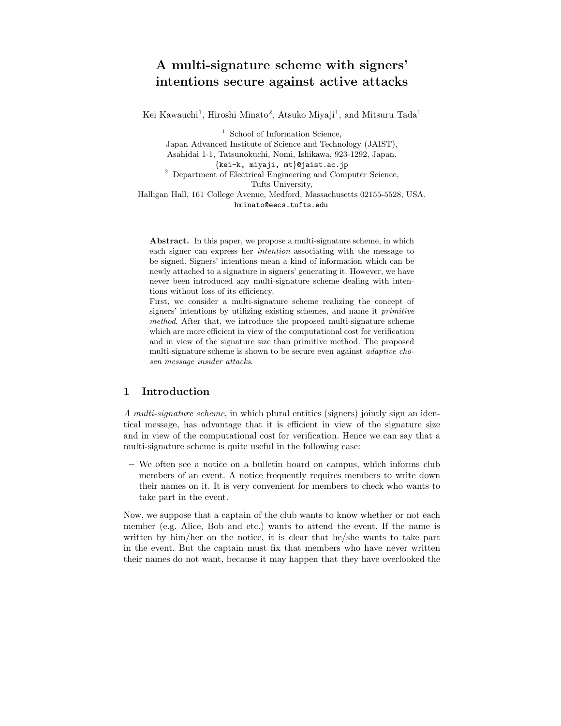## **A multi-signature scheme with signers' intentions secure against active attacks**

Kei Kawauchi<sup>1</sup>, Hiroshi Minato<sup>2</sup>, Atsuko Miyaji<sup>1</sup>, and Mitsuru Tada<sup>1</sup>

<sup>1</sup> School of Information Science, Japan Advanced Institute of Science and Technology (JAIST), Asahidai 1-1, Tatsunokuchi, Nomi, Ishikawa, 923-1292, Japan. *{*kei-k, miyaji, mt*}*@jaist.ac.jp <sup>2</sup> Department of Electrical Engineering and Computer Science, Tufts University, Halligan Hall, 161 College Avenue, Medford, Massachusetts 02155-5528, USA. hminato@eecs.tufts.edu

**Abstract.** In this paper, we propose a multi-signature scheme, in which each signer can express her intention associating with the message to be signed. Signers' intentions mean a kind of information which can be newly attached to a signature in signers' generating it. However, we have never been introduced any multi-signature scheme dealing with intentions without loss of its efficiency.

First, we consider a multi-signature scheme realizing the concept of signers' intentions by utilizing existing schemes, and name it primitive method. After that, we introduce the proposed multi-signature scheme which are more efficient in view of the computational cost for verification and in viewof the signature size than primitive method. The proposed multi-signature scheme is shown to be secure even against adaptive chosen message insider attacks.

## **1 Introduction**

*A multi-signature scheme*, in which plural entities (signers) jointly sign an identical message, has advantage that it is efficient in view of the signature size and in view of the computational cost for verification. Hence we can say that a multi-signature scheme is quite useful in the following case:

**–** We often see a notice on a bulletin board on campus, which informs club members of an event. A notice frequently requires members to write down their names on it. It is very convenient for members to check who wants to take part in the event.

Now, we suppose that a captain of the club wants to know whether or not each member (e.g. Alice, Bob and etc.) wants to attend the event. If the name is written by him/her on the notice, it is clear that he/she wants to take part in the event. But the captain must fix that members who have never written their names do not want, because it may happen that they have overlooked the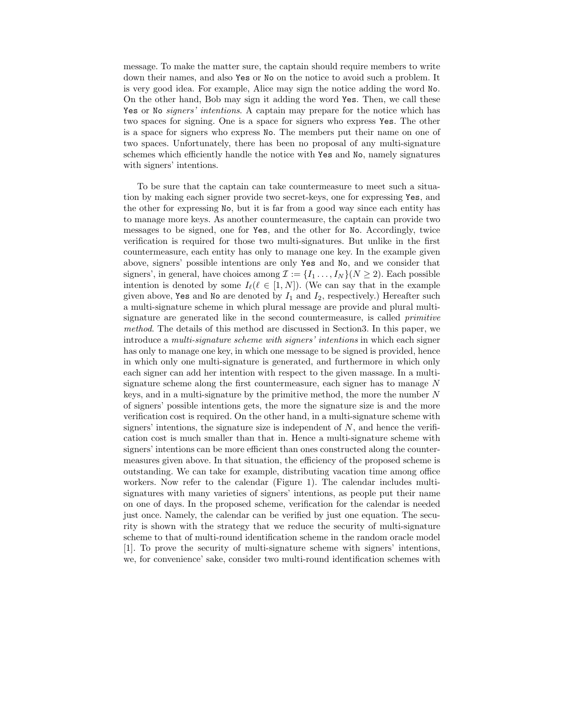message. To make the matter sure, the captain should require members to write down their names, and also Yes or No on the notice to avoid such a problem. It is very good idea. For example, Alice may sign the notice adding the word No. On the other hand, Bob may sign it adding the word Yes. Then, we call these Yes or No *signers' intentions*. A captain may prepare for the notice which has two spaces for signing. One is a space for signers who express Yes. The other is a space for signers who express No. The members put their name on one of two spaces. Unfortunately, there has been no proposal of any multi-signature schemes which efficiently handle the notice with Yes and No, namely signatures with signers' intentions.

To be sure that the captain can take countermeasure to meet such a situation by making each signer provide two secret-keys, one for expressing Yes, and the other for expressing No, but it is far from a good way since each entity has to manage more keys. As another countermeasure, the captain can provide two messages to be signed, one for Yes, and the other for No. Accordingly, twice verification is required for those two multi-signatures. But unlike in the first countermeasure, each entity has only to manage one key. In the example given above, signers' possible intentions are only Yes and No, and we consider that signers', in general, have choices among  $\mathcal{I} := \{I_1, \ldots, I_N\} (N \geq 2)$ . Each possible intention is denoted by some  $I_{\ell}(\ell \in [1, N])$ . (We can say that in the example<br>given above **Yes** and No are denoted by L and L respectively) Hereafter such given above, Yes and No are denoted by  $I_1$  and  $I_2$ , respectively.) Hereafter such a multi-signature scheme in which plural message are provide and plural multisignature are generated like in the second countermeasure, is called *primitive method*. The details of this method are discussed in Section3. In this paper, we introduce a *multi-signature scheme with signers' intentions* in which each signer has only to manage one key, in which one message to be signed is provided, hence in which only one multi-signature is generated, and furthermore in which only each signer can add her intention with respect to the given massage. In a multisignature scheme along the first countermeasure, each signer has to manage  $N$ keys, and in a multi-signature by the primitive method, the more the number  $N$ of signers' possible intentions gets, the more the signature size is and the more verification cost is required. On the other hand, in a multi-signature scheme with signers' intentions, the signature size is independent of  $N$ , and hence the verification cost is much smaller than that in. Hence a multi-signature scheme with signers' intentions can be more efficient than ones constructed along the countermeasures given above. In that situation, the efficiency of the proposed scheme is outstanding. We can take for example, distributing vacation time among office workers. Now refer to the calendar (Figure 1). The calendar includes multisignatures with many varieties of signers' intentions, as people put their name on one of days. In the proposed scheme, verification for the calendar is needed just once. Namely, the calendar can be verified by just one equation. The security is shown with the strategy that we reduce the security of multi-signature scheme to that of multi-round identification scheme in the random oracle model [1]. To prove the security of multi-signature scheme with signers' intentions, we, for convenience' sake, consider two multi-round identification schemes with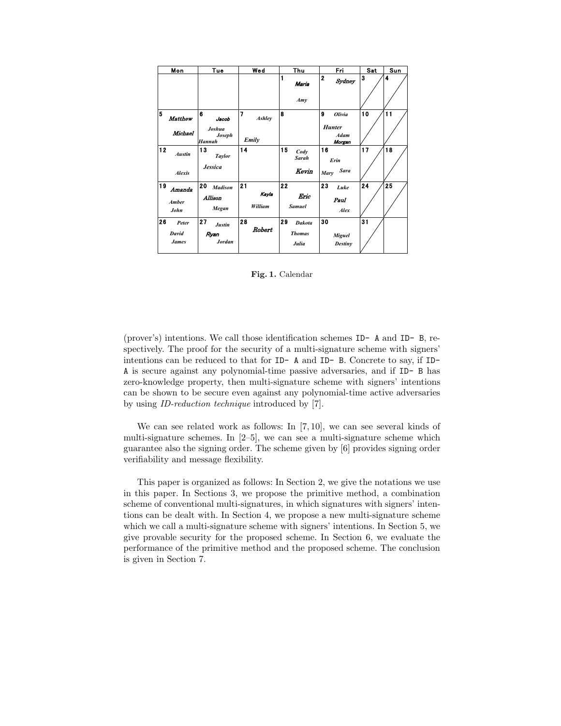| Mon                                  | Tue                                             | Wed                    | Thu                                           | Fri                                                   | Sat | Sun |
|--------------------------------------|-------------------------------------------------|------------------------|-----------------------------------------------|-------------------------------------------------------|-----|-----|
|                                      |                                                 |                        | 1<br>Maria<br>Amv                             | $\overline{2}$<br>Sydney                              | 3   | 4   |
| 5<br>Matthew<br><b>Michael</b>       | 6<br>Jacob<br>Joshua<br>Joseph<br>Hannah        | 7<br>Ashley<br>Emily   | 8                                             | 9<br>Olivia<br><b>Hunter</b><br><b>Adam</b><br>Morgan | 10  | 11  |
| 12<br><b>Austin</b><br><b>Alexis</b> | 13<br><b>Taylor</b><br><b>Jessica</b>           | 14                     | 15<br>Cody<br><b>Sarah</b><br>Kevin           | 16<br>Erin<br><b>Sara</b><br>Mary                     | 17  | 18  |
| 19<br>Amanda<br>Amber<br>John        | 20<br><b>Madison</b><br><b>Allison</b><br>Megan | 21<br>Kayla<br>William | 22<br>Eric<br><b>Samuel</b>                   | 23<br>Luke<br>Paul<br>Alex                            | 24  | 25  |
| 26<br>Peter<br>David<br><b>James</b> | 27<br>Justin<br>Ryan<br><b>Jordan</b>           | 28<br>Robert           | 29<br><b>Dakota</b><br><b>Thomas</b><br>Julia | 30<br>Miguel<br><b>Destiny</b>                        | 31  |     |

**Fig. 1.** Calendar

(prover's) intentions. We call those identification schemes ID- A and ID- B, respectively. The proof for the security of a multi-signature scheme with signers' intentions can be reduced to that for ID- A and ID- B. Concrete to say, if ID-A is secure against any polynomial-time passive adversaries, and if ID- B has zero-knowledge property, then multi-signature scheme with signers' intentions can be shown to be secure even against any polynomial-time active adversaries by using *ID-reduction technique* introduced by [7].

We can see related work as follows: In [7, 10], we can see several kinds of multi-signature schemes. In [2–5], we can see a multi-signature scheme which guarantee also the signing order. The scheme given by [6] provides signing order verifiability and message flexibility.

This paper is organized as follows: In Section 2, we give the notations we use in this paper. In Sections 3, we propose the primitive method, a combination scheme of conventional multi-signatures, in which signatures with signers' intentions can be dealt with. In Section 4, we propose a new multi-signature scheme which we call a multi-signature scheme with signers' intentions. In Section 5, we give provable security for the proposed scheme. In Section 6, we evaluate the performance of the primitive method and the proposed scheme. The conclusion is given in Section 7.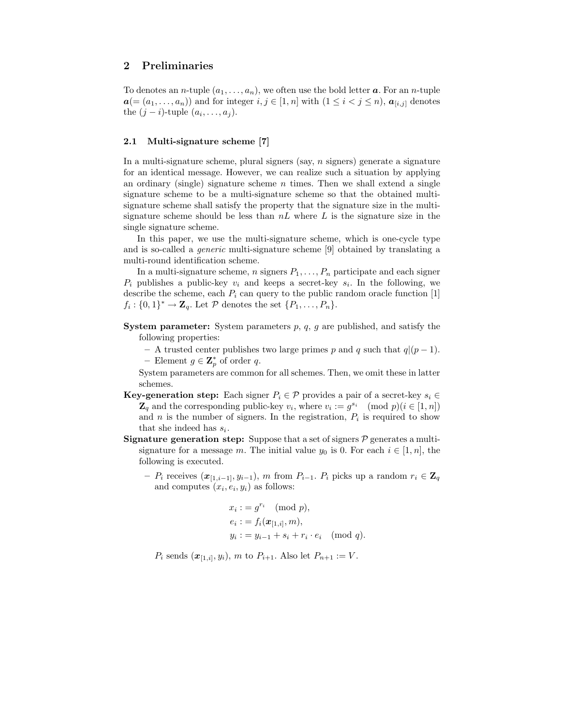## **2 Preliminaries**

To denotes an *n*-tuple  $(a_1, \ldots, a_n)$ , we often use the bold letter **a**. For an *n*-tuple  $a=(a_1,\ldots,a_n)$  and for integer  $i,j\in [1,n]$  with  $(1\leq i < j \leq n)$ ,  $a_{[i,j]}$  denotes the  $(j - i)$ -tuple  $(a_i, \ldots, a_j)$ .

#### **2.1 Multi-signature scheme [7]**

In a multi-signature scheme, plural signers (say,  $n$  signers) generate a signature for an identical message. However, we can realize such a situation by applying an ordinary (single) signature scheme  $n$  times. Then we shall extend a single signature scheme to be a multi-signature scheme so that the obtained multisignature scheme shall satisfy the property that the signature size in the multisignature scheme should be less than  $nL$  where  $L$  is the signature size in the single signature scheme.

In this paper, we use the multi-signature scheme, which is one-cycle type and is so-called a *generic* multi-signature scheme [9] obtained by translating a multi-round identification scheme.

In a multi-signature scheme, n signers  $P_1, \ldots, P_n$  participate and each signer  $P_i$  publishes a public-key  $v_i$  and keeps a secret-key  $s_i$ . In the following, we describe the scheme, each  $P_i$  can query to the public random oracle function [1]  $f_i: \{0,1\}^* \to \mathbf{Z}_q$ . Let P denotes the set  $\{P_1,\ldots,P_n\}$ .

**System parameter:** System parameters p, q, g are published, and satisfy the following properties:

- **–** A trusted center publishes two large primes p and q such that q|(p <sup>−</sup> 1).
- **−** Element  $g \in \mathbb{Z}_p^*$  of order q.

System parameters are common for all schemes. Then, we omit these in latter schemes.

- **Key-generation step:** Each signer  $P_i \in \mathcal{P}$  provides a pair of a secret-key  $s_i \in \mathcal{P}$  $\mathbf{Z}_q$  and the corresponding public-key  $v_i$ , where  $v_i := g^{s_i} \pmod{p}$  (i  $\in [1, n]$ ) and n is the number of signers. In the registration,  $P_i$  is required to show that she indeed has  $s_i$ .
- **Signature generation step:** Suppose that a set of signers  $P$  generates a multisignature for a message m. The initial value  $y_0$  is 0. For each  $i \in [1, n]$ , the following is executed.
	- **–**  $P_i$  receives  $(x_{[1,i-1]}, y_{i-1}),$  m from  $P_{i-1}$ .  $P_i$  picks up a random  $r_i \in \mathbf{Z}_q$ and computes  $(x_i, e_i, y_i)$  as follows:

$$
x_i := g^{r_i} \pmod{p},
$$
  
\n
$$
e_i := f_i(\boldsymbol{x}_{[1,i]}, m),
$$
  
\n
$$
y_i := y_{i-1} + s_i + r_i \cdot e_i \pmod{q}.
$$

 $P_i$  sends  $(\mathbf{x}_{[1,i]}, y_i)$ , m to  $P_{i+1}$ . Also let  $P_{n+1} := V$ .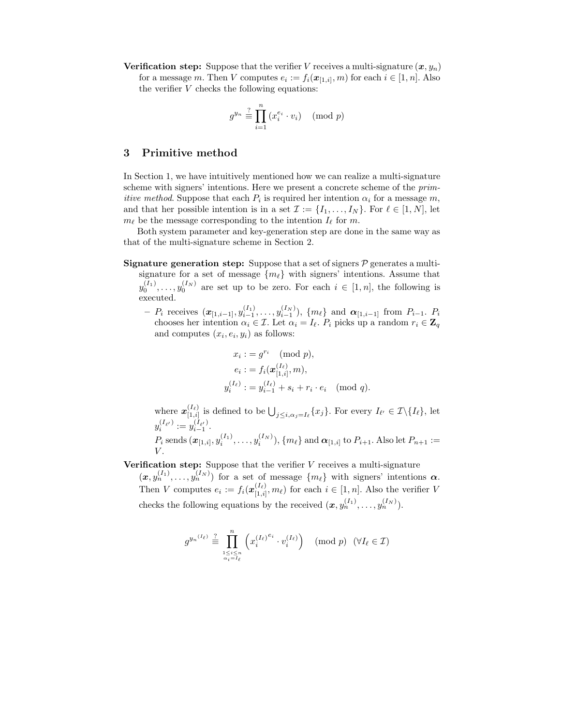**Verification step:** Suppose that the verifier V receives a multi-signature  $(x, y_n)$ for a message m. Then V computes  $e_i := f_i(\mathbf{x}_{[1,i]}, m)$  for each  $i \in [1, n]$ . Also the verifier  $V$  checks the following equations:

$$
g^{y_n} \stackrel{?}{\equiv} \prod_{i=1}^n (x_i^{e_i} \cdot v_i) \pmod{p}
$$

#### **3 Primitive method**

In Section 1, we have intuitively mentioned how we can realize a multi-signature scheme with signers' intentions. Here we present a concrete scheme of the *primitive method*. Suppose that each  $P_i$  is required her intention  $\alpha_i$  for a message m, and that her possible intention is in a set  $\mathcal{I} := \{I_1, \ldots, I_N\}$ . For  $\ell \in [1, N]$ , let  $m_{\ell}$  be the message corresponding to the intention  $I_{\ell}$  for m.<br>Both system parameter and low generation step are done

Both system parameter and key-generation step are done in the same way as that of the multi-signature scheme in Section 2.

- **Signature generation step:** Suppose that a set of signers  $\mathcal{P}$  generates a multisignature for a set of message  $\{m_\ell\}$  with signers' intentions. Assume that  $\binom{I_1}{I_2}$  and  $\binom{I_N}{I_N}$  are set on the help since Figure in  $\binom{I_1}{I_N}$  and the following is y executed.  $($ <sub>0</sub> $()$ <sub>0</sub> $()$ <sub>0</sub> $()$ <sub>0</sub> $()$ <sub>0</sub> $()$ <sub>0</sub> are set up to be zero. For each  $i \in [1, n]$ , the following is
	- $P_i$  receives  $(\mathbf{x}_{[1,i-1]}, y_{i-1}^{(I_1)}, \ldots, y_{i-1}^{(I_N)}), \{m_\ell\}$  and  $\mathbf{\alpha}_{[1,i-1]}$  from  $P_{i-1}$ .  $P_i$ <br>chooses her intention  $\alpha_i \in \mathcal{T}$ , Let  $\alpha_i L$ , P, picks up a random  $r_i \in \mathbf{Z}$ . chooses her intention  $\alpha_i \in \mathcal{I}$ . Let  $\alpha_i = I_\ell$ .  $P_i$  picks up a random  $r_i \in \mathbf{Z}_q$ <br>and computes  $(r_i, e_i, y_i)$  as follows: and computes  $(x_i, e_i, y_i)$  as follows:

$$
x_i := g^{r_i} \pmod{p},
$$
  
\n
$$
e_i := f_i(\boldsymbol{x}_{[1,i]}^{(I_\ell)}, m),
$$
  
\n
$$
y_i^{(I_\ell)} := y_{i-1}^{(I_\ell)} + s_i + r_i \cdot e_i \pmod{q}.
$$

where  $\mathbf{x}_{[1,i]}^{(I_{\ell})}$  is defined to be  $\bigcup_{j\leq i,\alpha_j=I_{\ell}}\{x_j\}$ . For every  $I_{\ell'}\in\mathcal{I}\setminus\{I_{\ell}\}\text{, let }$  $y_i^{(I_{\ell})} := y$  $i^{(I_{\ell'})} := y_{i-1}^{(I_{\ell'})}.$  $P_i$  sends  $(\bm{x}_{[1,i]}, y_i^{(I_1)}, \ldots, y_i^{(I_N)}), \{m_\ell\}$  and  $\bm{\alpha}_{[1,i]}$  to  $P_{i+1}$ . Also let  $P_{n+1} := V$  $V$ .

**Verification step:** Suppose that the verifier V receives a multi-signature

 $(x, y_n^{(I_1)}, \ldots, y_n^{(I_N)})$  for a set of message  $\{m_\ell\}$  with signers' intentions  $\alpha$ .<br>Then  $V$  conventions are  $f(x_n^{(I_\ell)}, \ldots)$  for each  $i \in [1, n]$ , the the earlier V Then V computes  $e_i := f_i(\boldsymbol{x}_{[1,i]}^{(I_\ell)}, m_\ell)$  for each  $i \in [1, n]$ . Also the verifier V checks the following equations by the received  $(\boldsymbol{x}, y_n^{(I_1)}, \ldots, y_n^{(I_N)})$ .

$$
g^{y_n(I_\ell)} \stackrel{?}{\equiv} \prod_{\substack{1 \le i \le n \\ \alpha_i = I_\ell}}^n \left( x_i^{(I_\ell)^{e_i}} \cdot v_i^{(I_\ell)} \right) \pmod{p} \quad (\forall I_\ell \in \mathcal{I})
$$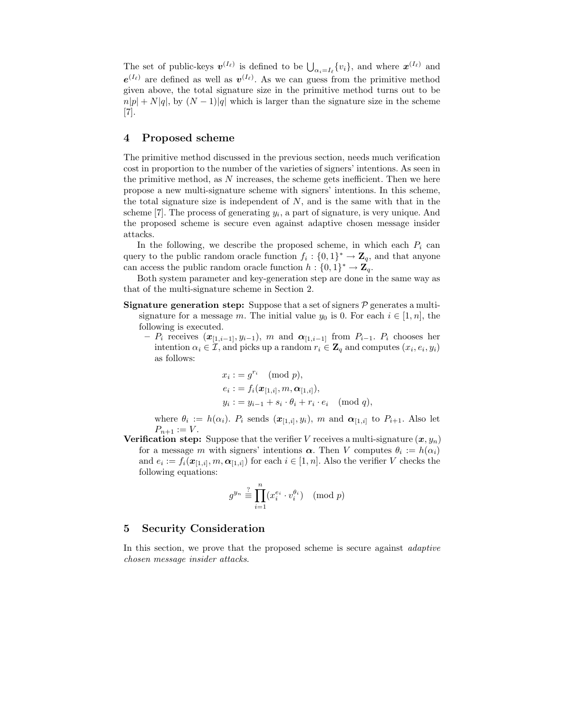The set of public-keys  $v^{(I_{\ell})}$  is defined to be  $\bigcup_{\alpha_i=I_{\ell}} \{v_i\}$ , and where  $x^{(I_{\ell})}$  and  $(v_i)$  $e^{(I_{\ell})}$  are defined as well as  $v^{(I_{\ell})}$ . As we can guess from the primitive method given above, the total signature size in the primitive method turns out to be  $n|p| + N|q|$ , by  $(N-1)|q|$  which is larger than the signature size in the scheme [7].

### **4 Proposed scheme**

The primitive method discussed in the previous section, needs much verification cost in proportion to the number of the varieties of signers' intentions. As seen in the primitive method, as  $N$  increases, the scheme gets inefficient. Then we here propose a new multi-signature scheme with signers' intentions. In this scheme, the total signature size is independent of  $N$ , and is the same with that in the scheme [7]. The process of generating  $y_i$ , a part of signature, is very unique. And the proposed scheme is secure even against adaptive chosen message insider attacks.

In the following, we describe the proposed scheme, in which each  $P_i$  can query to the public random oracle function  $f_i : \{0,1\}^* \to \mathbb{Z}_q$ , and that anyone can access the public random oracle function  $h : \{0,1\}^* \to \mathbb{Z}_q$ .

Both system parameter and key-generation step are done in the same way as that of the multi-signature scheme in Section 2.

- **Signature generation step:** Suppose that a set of signers  $P$  generates a multisignature for a message m. The initial value  $y_0$  is 0. For each  $i \in [1, n]$ , the following is executed.
	- $P_i$  receives  $(x_{[1,i-1]}, y_{i-1}),$  *m* and  $α_{[1,i-1]}$  from  $P_{i-1}$ .  $P_i$  chooses her intention  $\alpha_i \in \mathcal{I}$ , and picks up a random  $r_i \in \mathbf{Z}_q$  and computes  $(x_i, e_i, y_i)$ as follows:

$$
x_i := g^{r_i} \pmod{p},
$$
  
\n
$$
e_i := f_i(\boldsymbol{x}_{[1,i]}, m, \boldsymbol{\alpha}_{[1,i]}),
$$
  
\n
$$
y_i := y_{i-1} + s_i \cdot \theta_i + r_i \cdot e_i \pmod{q},
$$

where  $\theta_i := h(\alpha_i)$ .  $P_i$  sends  $(\mathbf{x}_{[1,i]}, y_i)$ , *m* and  $\alpha_{[1,i]}$  to  $P_{i+1}$ . Also let  $P_{n+1} := V$ .  $P_{n+1} := V.$ <br>ation step

**Verification step:** Suppose that the verifier V receives a multi-signature  $(x, y_n)$  for a message m with signers' intentions  $\alpha$ . Then V computes  $\theta_i := h(\alpha_i)$ for a message m with signers' intentions  $\alpha$ . Then V computes  $\theta_i := h(\alpha_i)$ and  $e_i := f_i(\mathbf{x}_{[1,i]}, m, \mathbf{\alpha}_{[1,i]})$  for each  $i \in [1, n]$ . Also the verifier V checks the following equations:

$$
g^{y_n} \stackrel{?}{\equiv} \prod_{i=1}^n (x_i^{e_i} \cdot v_i^{\theta_i}) \pmod{p}
$$

## **5 Security Consideration**

In this section, we prove that the proposed scheme is secure against *adaptive chosen message insider attacks*.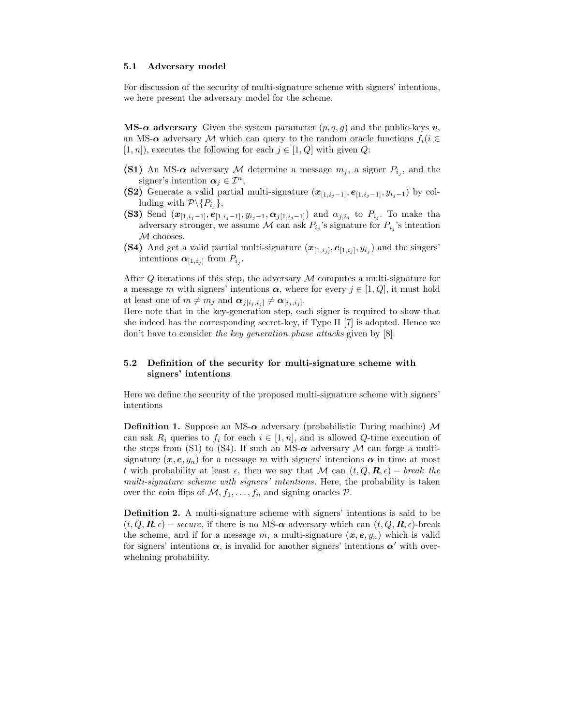#### **5.1 Adversary model**

For discussion of the security of multi-signature scheme with signers' intentions, we here present the adversary model for the scheme.

**MS-** $\alpha$  **adversary** Given the system parameter  $(p, q, g)$  and the public-keys  $v$ , an MS- $\alpha$  adversary M which can query to the random oracle functions  $f_i(i \in$  $[1, n]$ , executes the following for each  $j \in [1, Q]$  with given Q:

- **(S1)** An MS- $\alpha$  adversary M determine a message  $m_j$ , a signer  $P_{i_j}$ , and the signer's intention  $\alpha_i \in \mathcal{I}^n$ ,
- **(S2)** Generate a valid partial multi-signature  $(x_{[1,i_j-1]}, e_{[1,i_j-1]}, y_{i_j-1})$  by colluding with  $\mathcal{P}\backslash \{P_{i,j}\},\$
- **(S3)** Send  $(x_{[1,i_j-1]}, e_{[1,i_j-1]}, y_{i_j-1}, \alpha_{j[1,i_j-1]})$  and  $\alpha_{j,i_j}$  to  $P_{i_j}$ . To make tha adversary stronger, we assume M can ask  $P_{i_j}$ 's signature for  $P_{i_j}$ 's intention M chooses.
- **(S4)** And get a valid partial multi-signature  $(x_{[1,i_j]}, e_{[1,i_j]}, y_{i_j})$  and the singers' intentions  $\alpha_{[1,i_j]}$  from  $P_{i_j}$ .

After  $Q$  iterations of this step, the adversary  $\mathcal M$  computes a multi-signature for a message m with signers' intentions  $\alpha$ , where for every  $j \in [1, Q]$ , it must hold at least one of  $m \neq m_j$  and  $\alpha_{j[i_j,i_j]} \neq \alpha_{[i_j,i_j]}$ .

Here note that in the key-generation step, each signer is required to show that she indeed has the corresponding secret-key, if Type II  $[7]$  is adopted. Hence we don't have to consider *the key generation phase attacks* given by [8].

#### **5.2 Definition of the security for multi-signature scheme with signers' intentions**

Here we define the security of the proposed multi-signature scheme with signers' intentions

**Definition 1.** Suppose an MS- $\alpha$  adversary (probabilistic Turing machine) M can ask  $R_i$  queries to  $f_i$  for each  $i \in [1, n]$ , and is allowed Q-time execution of the steps from (S1) to (S4). If such an MS- $\alpha$  adversary M can forge a multisignature  $(x, e, y_n)$  for a message m with signers' intentions  $\alpha$  in time at most t with probability at least  $\epsilon$ , then we say that M can  $(t, Q, \mathbf{R}, \epsilon)$  – *break the multi-signature scheme with signers' intentions.* Here, the probability is taken over the coin flips of  $M$ ,  $f_1$ , ...,  $f_n$  and signing oracles  $P$ .

**Definition 2.** A multi-signature scheme with signers' intentions is said to be  $(t, Q, \mathbf{R}, \epsilon)$  – *secure*, if there is no MS- $\alpha$  adversary which can  $(t, Q, \mathbf{R}, \epsilon)$ -break the scheme, and if for a message m, a multi-signature  $(x, e, y_n)$  which is valid for signers' intentions  $\alpha$ , is invalid for another signers' intentions  $\alpha'$  with overwhelming probability.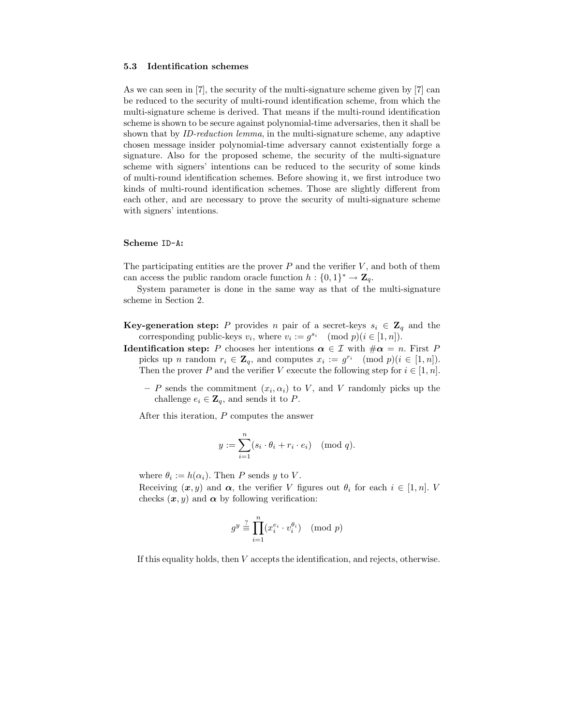#### **5.3 Identification schemes**

As we can seen in  $[7]$ , the security of the multi-signature scheme given by  $[7]$  can be reduced to the security of multi-round identification scheme, from which the multi-signature scheme is derived. That means if the multi-round identification scheme is shown to be secure against polynomial-time adversaries, then it shall be shown that by *ID-reduction lemma*, in the multi-signature scheme, any adaptive chosen message insider polynomial-time adversary cannot existentially forge a signature. Also for the proposed scheme, the security of the multi-signature scheme with signers' intentions can be reduced to the security of some kinds ofmulti-round identification schemes. Before showing it, we first introduce two kinds of multi-round identification schemes. Those are slightly different from each other, and are necessary to prove the security of multi-signature scheme with signers' intentions.

#### **Scheme** ID-A**:**

The participating entities are the prover  $P$  and the verifier  $V$ , and both of them can access the public random oracle function  $h : \{0,1\}^* \to \mathbb{Z}_q$ .

System parameter is done in the same way as that of the multi-signature scheme in Section 2.

- **Key-generation step:** P provides n pair of a secret-keys  $s_i \in \mathbb{Z}_q$  and the corresponding public-keys  $v_i$ , where  $v_i := g^{s_i} \pmod{p} (i \in [1, n]).$
- **Identification step:** P chooses her intentions  $\alpha \in \mathcal{I}$  with  $\#\alpha = n$ . First P picks up *n* random  $r_i \in \mathbf{Z}_q$ , and computes  $x_i := g^{r_i} \pmod{p}$  (i  $\in [1, n]$ ). Then the prover P and the verifier V execute the following step for  $i \in [1, n]$ .
	- $-P$  sends the commitment  $(x_i, \alpha_i)$  to V, and V randomly picks up the challenge  $e_i \in \mathbf{Z}_q$ , and sends it to P.

After this iteration, P computes the answer

$$
y := \sum_{i=1}^{n} (s_i \cdot \theta_i + r_i \cdot e_i) \pmod{q}.
$$

where  $\theta_i := h(\alpha_i)$ . Then P sends y to V.

Receiving  $(x, y)$  and  $\alpha$ , the verifier V figures out  $\theta_i$  for each  $i \in [1, n]$ . V checks  $(x, y)$  and  $\alpha$  by following verification:

$$
g^y \stackrel{?}{\equiv} \prod_{i=1}^n (x_i^{e_i} \cdot v_i^{\theta_i}) \pmod{p}
$$

If this equality holds, then  $V$  accepts the identification, and rejects, otherwise.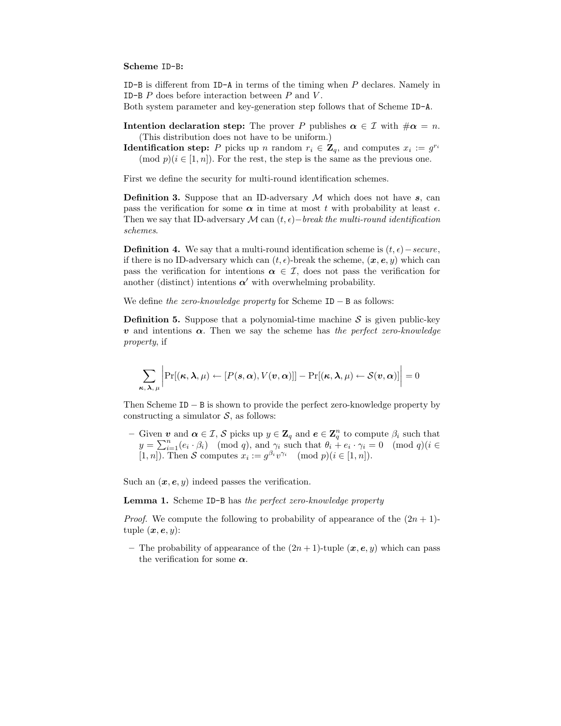#### **Scheme** ID-B**:**

ID-B is different from  $ID-A$  in terms of the timing when  $P$  declares. Namely in ID-B  $P$  does before interaction between  $P$  and  $V$ .

Both system parameter and key-generation step follows that of Scheme ID-A.

**Intention declaration step:** The prover P publishes  $\alpha \in \mathcal{I}$  with  $\#\alpha = n$ . (This distribution does not have to be uniform.)

**Identification step:** P picks up n random  $r_i \in \mathbb{Z}_q$ , and computes  $x_i := g^{r_i}$ (mod  $p$ )( $i \in [1, n]$ ). For the rest, the step is the same as the previous one.

First we define the security for multi-round identification schemes.

**Definition 3.** Suppose that an ID-adversary  $M$  which does not have  $s$ , can pass the verification for some  $\alpha$  in time at most t with probability at least  $\epsilon$ . Then we say that ID-adversary M can  $(t, \epsilon)$ *−break the multi-round identification schemes*.

**Definition 4.** We say that a multi-round identification scheme is  $(t, \epsilon)$  – *secure*, if there is no ID-adversary which can  $(t, \epsilon)$ -break the scheme,  $(x, e, y)$  which can pass the verification for intentions  $\alpha \in \mathcal{I}$ , does not pass the verification for another (distinct) intentions  $\alpha'$  with overwhelming probability.

We define *the zero-knowledge property* for Scheme ID − B as follows:

**Definition 5.** Suppose that a polynomial-time machine  $S$  is given public-key *v* and intentions *α*. Then we say the scheme has *the perfect zero-knowledge property*, if

$$
\sum_{\boldsymbol{\kappa},\boldsymbol{\lambda},\,\mu}\bigg|\Pr[(\boldsymbol{\kappa},\boldsymbol{\lambda},\mu)\leftarrow [P(\boldsymbol{s},\boldsymbol{\alpha}),V(\boldsymbol{v},\boldsymbol{\alpha})]]-\Pr[(\boldsymbol{\kappa},\boldsymbol{\lambda},\mu)\leftarrow \mathcal{S}(\boldsymbol{v},\boldsymbol{\alpha})]\bigg|=0
$$

Then Scheme ID − B is shown to provide the perfect zero-knowledge property by constructing a simulator  $S$ , as follows:

**−** Given *v* and *α* ∈ *I*, *S* picks up *y* ∈ **Z**<sub>q</sub> and *e* ∈ **Z**<sub>q</sub><sup>n</sup> to compute β<sub>i</sub> such that  $\theta_i$  =  $\alpha_i$  (mod *a*)(*i* ∈  $\alpha_i$  +  $\theta_i$  +  $\theta_i$  +  $\theta_i$  +  $\theta_i$  +  $\theta_i$  +  $\alpha_i$  +  $\alpha_i$  +  $\alpha_i$  +  $\alpha_i$  +  $\alpha_i$  +  $y = \sum_{i=1}^{n} (e_i \cdot \beta_i) \pmod{q}$ , and  $\gamma_i$  such that  $\theta_i + e_i \cdot \gamma_i = 0 \pmod{q}$  ( $i \in [1, n]$ ). Then S computes  $x_i := \theta^{\beta_i} \eta^{\gamma_i}$  (mod  $n \geq i \leq [1, n]$ ) [1, *n*]). Then S computes  $x_i := g^{\beta_i} v^{\gamma_i} \pmod{p}$  (i  $\in [1, n]$ ).

Such an  $(x, e, y)$  indeed passes the verification.

**Lemma 1.** Scheme ID-B has *the perfect zero-knowledge property*

*Proof.* We compute the following to probability of appearance of the  $(2n + 1)$ tuple  $(\boldsymbol{x}, \boldsymbol{e}, y)$ :

– The probability of appearance of the  $(2n + 1)$ -tuple  $(x, e, y)$  which can pass the verification for some *α*.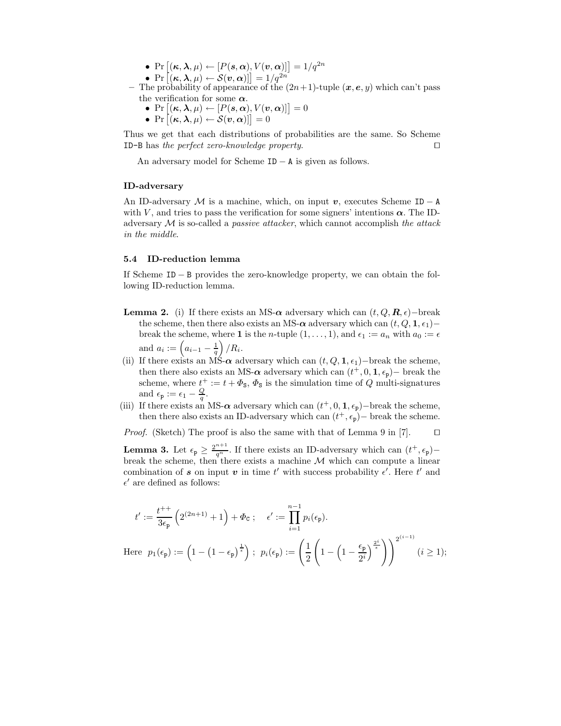- Pr  $[(\kappa, \lambda, \mu) \leftarrow [P(s, \alpha), V(v, \alpha)]$  =  $1/q^{2n}$
- Pr  $[(\kappa, \lambda, \mu) \leftarrow \mathcal{S}(\mathbf{v}, \alpha)]$  =  $1/q^{2n}$ <br>he probability of appearance of the
- The probability of appearance of the  $(2n+1)$ -tuple  $(x, e, y)$  which can't pass the verification for some *α*.
	- $Pr\left[ (\kappa, \lambda, \mu) \leftarrow [P(s, \alpha), V(v, \alpha)] \right] = 0$ <br>•  $Pr\left[ (\kappa, \lambda, \mu) \leftarrow S(\kappa, \alpha) \right] = 0$
	- Pr  $[(\kappa, \lambda, \mu) \leftarrow \mathcal{S}(\boldsymbol{v}, \boldsymbol{\alpha})]$ ] = 0

Thus we get that each distributions of probabilities are the same. So Scheme ID-B has *the perfect zero-knowledge property*.

An adversary model for Scheme ID − A is given as follows.

#### **ID-adversary**

An ID-adversary  $M$  is a machine, which, on input  $v$ , executes Scheme ID – A with V, and tries to pass the verification for some signers' intentions  $\alpha$ . The IDadversary M is so-called a *passive attacker*, which cannot accomplish *the attack in the middle*.

#### **5.4 ID-reduction lemma**

If Scheme  $ID - B$  provides the zero-knowledge property, we can obtain the following ID-reduction lemma.

- **Lemma 2.** (i) If there exists an MS- $\alpha$  adversary which can  $(t, Q, \mathbf{R}, \epsilon)$ -break the scheme, then there also exists an MS- $\alpha$  adversary which can  $(t, Q, \mathbf{1}, \epsilon_1)$ − break the scheme, where **1** is the *n*-tuple  $(1, \ldots, 1)$ , and  $\epsilon_1 := a_n$  with  $a_0 := \epsilon$ and  $a_i := \left(a_{i-1} - \frac{1}{q}\right) / R_i$ .
- (ii) If there exists an MS- $\alpha$  adversary which can  $(t, Q, \mathbf{1}, \epsilon_1)$ −break the scheme, then there also exists an MS- $\alpha$  adversary which can  $(t+0, \mathbf{1}, \epsilon_1)$ − break the then there also exists an MS- $\alpha$  adversary which can  $(t^+, 0, 1, \epsilon_p)$  break the schame where  $t^+ := t + \Phi_t$ ,  $\Phi_t$  is the simulation time of  $\Omega$  multi-signatures scheme, where  $t^+ := t + \Phi_s$ ,  $\Phi_s$  is the simulation time of Q multi-signatures and  $\epsilon_{\mathbf{p}} := \epsilon_1 - \frac{Q}{q}$ .<br>If there exists an
- (iii) If there exists an MS- $\alpha$  adversary which can  $(t^+, 0, 1, \epsilon_p)$  break the scheme, then there also exists an ID-adversary which can  $(t^+, \epsilon)$  break the scheme then there also exists an ID-adversary which can  $(t^+, \epsilon_p)$  break the scheme.

*Proof.* (Sketch) The proof is also the same with that of Lemma 9 in [7].  $\Box$ 

**Lemma 3.** Let  $\epsilon_p \geq \frac{2^{n+1}}{q^n}$ . If there exists an ID-adversary which can  $(t^+, \epsilon_p)$ –<br>break the scheme, then there exists a machine A4 which can compute a linear break the scheme, then there exists a machine  $M$  which can compute a linear combination of *s* on input *v* in time *t'* with success probability  $\epsilon'$ . Here *t'* and  $\epsilon'$  are defined as follows:  $\epsilon'$  are defined as follows:

$$
t' := \frac{t^{++}}{3\epsilon_{\mathbf{p}}} \left( 2^{(2n+1)} + 1 \right) + \Phi_{\mathbf{C}} ; \quad \epsilon' := \prod_{i=1}^{n-1} p_i(\epsilon_{\mathbf{p}}).
$$
  
Here  $p_1(\epsilon_{\mathbf{p}}) := \left( 1 - \left( 1 - \epsilon_{\mathbf{p}} \right)^{\frac{1}{\epsilon}} \right) ; \quad p_i(\epsilon_{\mathbf{p}}) := \left( \frac{1}{2} \left( 1 - \left( 1 - \frac{\epsilon_{\mathbf{p}}}{2^i} \right)^{\frac{2^i}{\epsilon}} \right) \right)^{2^{(i-1)}} \quad (i \ge 1);$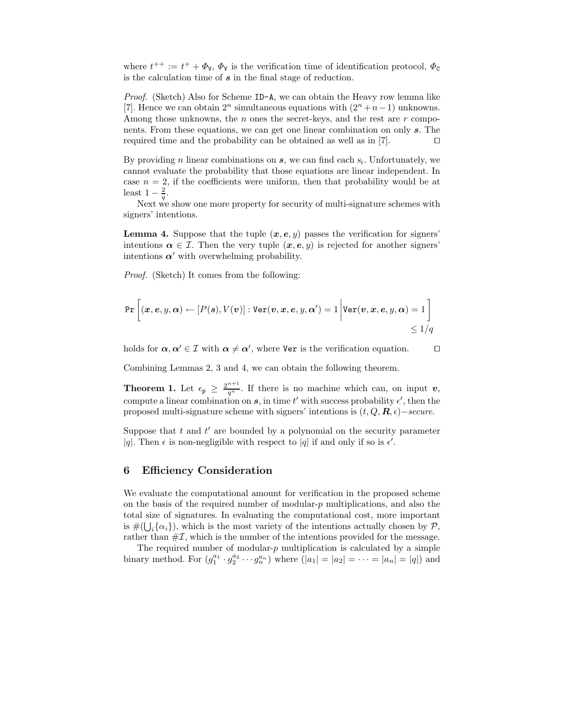where  $t^{++} := t^+ + \Phi_{\mathbf{V}}, \Phi_{\mathbf{V}}$  is the verification time of identification protocol,  $\Phi_{\mathbf{C}}$ <br>is the calculation time of  $\mathbf{\varepsilon}$  in the final stage of reduction is the calculation time of *s* in the final stage of reduction.

*Proof.* (Sketch) Also for Scheme ID-A, we can obtain the Heavy row lemma like [7]. Hence we can obtain  $2^n$  simultaneous equations with  $(2^n + n - 1)$  unknowns. Among those unknowns, the  $n$  ones the secret-keys, and the rest are  $r$  components. From these equations, we can get one linear combination on only *s*. The required time and the probability can be obtained as well as in [7].  $\Box$ 

By providing *n* linear combinations on  $s$ , we can find each  $s_i$ . Unfortunately, we cannot evaluate the probability that those equations are linear independent. In case  $n = 2$ , if the coefficients were uniform, then that probability would be at least  $1-\frac{2}{q}$ .

Next we show one more property for security of multi-signature schemes with signers' intentions.

**Lemma 4.** Suppose that the tuple  $(x, e, y)$  passes the verification for signers' intentions  $\alpha \in \mathcal{I}$ . Then the very tuple  $(x, e, y)$  is rejected for another signers' intentions  $\alpha'$  with overwhelming probability.

*Proof.* (Sketch) It comes from the following:

$$
\Pr\left[(x, e, y, \alpha) \leftarrow [P(s), V(v)] : \text{Ver}(v, x, e, y, \alpha') = 1 \middle| \text{Ver}(v, x, e, y, \alpha) = 1 \right] \le 1/q
$$

holds for  $\alpha, \alpha' \in \mathcal{I}$  with  $\alpha \neq \alpha'$ , where Ver is the verification equation.  $\square$ 

Combining Lemmas 2, 3 and 4, we can obtain the following theorem.

**Theorem 1.** Let  $\epsilon_p \geq \frac{2^{n+1}}{q^n}$ . If there is no machine which can, on input *v*, compute a linear combination on a in time *i'* with quesses probability of then the compute a linear combination on *s*, in time t' with success probability  $\epsilon'$ , then the<br>proposed multi-signature scheme with signers' intentions is  $(f \cap \mathbf{R} \epsilon)$  – secure proposed multi-signature scheme with signers' intentions is  $(t, Q, \mathbf{R}, \epsilon)$  – *secure*.

Suppose that t and t' are bounded by a polynomial on the security parameter  $|a|$ . Then  $\epsilon$  is non-negligible with respect to  $|a|$  if and only if so is  $\epsilon'$ . |q|. Then  $\epsilon$  is non-negligible with respect to |q| if and only if so is  $\epsilon'$ .

#### **6 Efficiency Consideration**

We evaluate the computational amount for verification in the proposed scheme on the basis of the required number of modular- $p$  multiplications, and also the total size of signatures. In evaluating the computational cost, more important is  $\#(\bigcup_i {\alpha_i})$ , which is the most variety of the intentions actually chosen by  $\mathcal{P}$ ,<br>rather than  $\# \mathcal{T}$  which is the number of the intentions provided for the message rather than  $\#\mathcal{I}$ , which is the number of the intentions provided for the message.

The required number of modular- $p$  multiplication is calculated by a simple binary method. For  $(g_1^{a_1} \cdot g_2^{a_2} \cdots g_n^{a_n})$  where  $(|a_1| = |a_2| = \cdots = |a_n| = |q|)$  and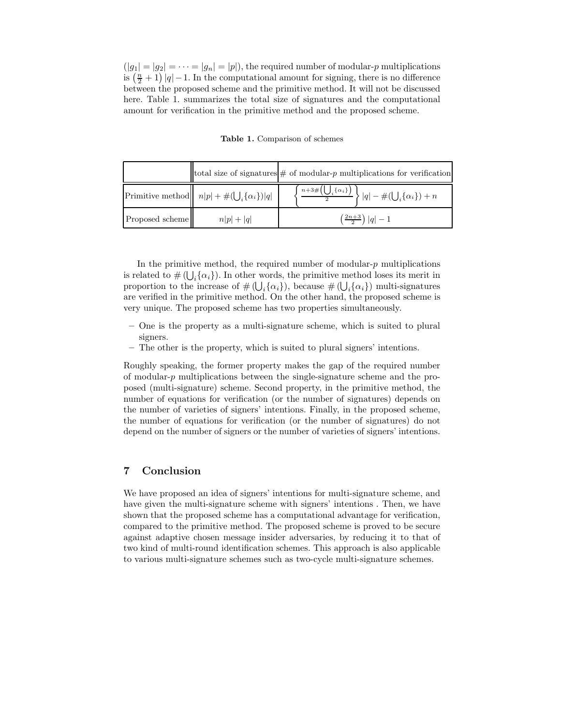$(|g_1| = |g_2| = \cdots = |g_n| = |p|)$ , the required number of modular-p multiplications is  $\left(\frac{n}{2}+1\right)|q|-1$ . In the computational amount for signing, there is no difference between the proposed scheme and the primitive method. It will not be discussed here. Table 1. summarizes the total size of signatures and the computational amount for verification in the primitive method and the proposed scheme.

**Table 1.** Comparison of schemes

|                 |                                                           | total size of signatures $\#$ of modular-p multiplications for verification                                    |  |
|-----------------|-----------------------------------------------------------|----------------------------------------------------------------------------------------------------------------|--|
|                 | Primitive method $n p  + \#(\bigcup_i {\{\alpha_i\}}) q $ | $\Big\{\, \frac{n+3\#\Big(\bigcup_i \{\alpha_i\}\Big)}{2}\, \Big\}\,  q -\#\big(\bigcup_i \{\alpha_i\}\big)+n$ |  |
| Proposed scheme | $n p + q $                                                | $\left(\frac{2n+3}{2}\right) q -1$                                                                             |  |

In the primitive method, the required number of modular- $p$  multiplications is related to  $\# (\bigcup_i {\{\alpha_i\}})$ . In other words, the primitive method loses its merit in<br>proportion to the increase of  $\# (1, 1, \alpha, 1)$  hecause  $\# (1, 1, \alpha, 1)$  multi-signatures proportion to the increase of  $\#(\bigcup_i {\{\alpha_i\}})$ , because  $\#(\bigcup_i {\{\alpha_i\}})$  multi-signatures<br>are verified in the primitive method. On the other hand, the proposed scheme is are verified in the primitive method. On the other hand, the proposed scheme is very unique. The proposed scheme has two properties simultaneously.

- **–** One is the property as a multi-signature scheme, which is suited to plural signers.
- **–** The other is the property, which is suited to plural signers' intentions.

Roughly speaking, the former property makes the gap of the required number of modular- $p$  multiplications between the single-signature scheme and the proposed (multi-signature) scheme. Second property, in the primitive method, the number of equations for verification (or the number of signatures) depends on the number of varieties of signers' intentions. Finally, in the proposed scheme, the number of equations for verification (or the number of signatures) do not depend on the number of signers or the number of varieties of signers' intentions.

## **7 Conclusion**

We have proposed an idea of signers' intentions for multi-signature scheme, and have given the multi-signature scheme with signers' intentions . Then, we have shown that the proposed scheme has a computational advantage for verification, compared to the primitive method. The proposed scheme is proved to be secure against adaptive chosen message insider adversaries, by reducing it to that of two kind of multi-round identification schemes. This approach is also applicable to various multi-signature schemes such as two-cycle multi-signature schemes.